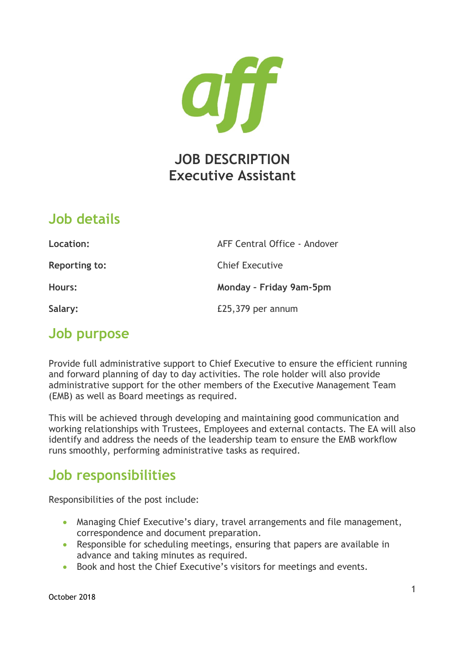

### **Job details**

| Location:            | AFF Central Office - Andover |
|----------------------|------------------------------|
| <b>Reporting to:</b> | <b>Chief Executive</b>       |
| Hours:               | Monday - Friday 9am-5pm      |
| Salary:              | £25,379 per annum            |

# **Job purpose**

Provide full administrative support to Chief Executive to ensure the efficient running and forward planning of day to day activities. The role holder will also provide administrative support for the other members of the Executive Management Team (EMB) as well as Board meetings as required.

This will be achieved through developing and maintaining good communication and working relationships with Trustees, Employees and external contacts. The EA will also identify and address the needs of the leadership team to ensure the EMB workflow runs smoothly, performing administrative tasks as required.

# **Job responsibilities**

Responsibilities of the post include:

- Managing Chief Executive's diary, travel arrangements and file management, correspondence and document preparation.
- Responsible for scheduling meetings, ensuring that papers are available in advance and taking minutes as required.
- Book and host the Chief Executive's visitors for meetings and events.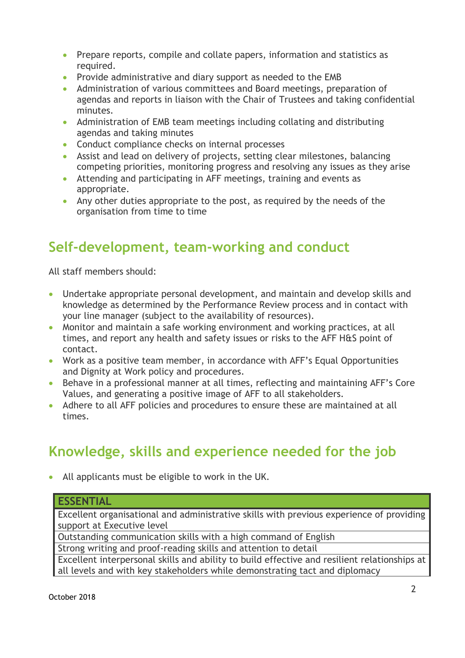- Prepare reports, compile and collate papers, information and statistics as required.
- Provide administrative and diary support as needed to the EMB
- Administration of various committees and Board meetings, preparation of agendas and reports in liaison with the Chair of Trustees and taking confidential minutes.
- Administration of EMB team meetings including collating and distributing agendas and taking minutes
- Conduct compliance checks on internal processes
- Assist and lead on delivery of projects, setting clear milestones, balancing competing priorities, monitoring progress and resolving any issues as they arise
- Attending and participating in AFF meetings, training and events as appropriate.
- Any other duties appropriate to the post, as required by the needs of the organisation from time to time

# **Self-development, team-working and conduct**

All staff members should:

- Undertake appropriate personal development, and maintain and develop skills and knowledge as determined by the Performance Review process and in contact with your line manager (subject to the availability of resources).
- Monitor and maintain a safe working environment and working practices, at all times, and report any health and safety issues or risks to the AFF H&S point of contact.
- Work as a positive team member, in accordance with AFF's Equal Opportunities and Dignity at Work policy and procedures.
- Behave in a professional manner at all times, reflecting and maintaining AFF's Core Values, and generating a positive image of AFF to all stakeholders.
- Adhere to all AFF policies and procedures to ensure these are maintained at all times.

# **Knowledge, skills and experience needed for the job**

• All applicants must be eligible to work in the UK.

#### **ESSENTIAL**

Excellent organisational and administrative skills with previous experience of providing support at Executive level

Outstanding communication skills with a high command of English

Strong writing and proof-reading skills and attention to detail

Excellent interpersonal skills and ability to build effective and resilient relationships at all levels and with key stakeholders while demonstrating tact and diplomacy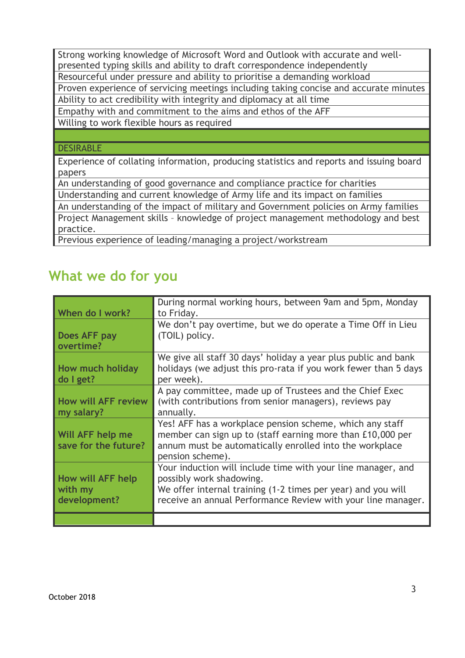Strong working knowledge of Microsoft Word and Outlook with accurate and wellpresented typing skills and ability to draft correspondence independently Resourceful under pressure and ability to prioritise a demanding workload Proven experience of servicing meetings including taking concise and accurate minutes Ability to act credibility with integrity and diplomacy at all time Empathy with and commitment to the aims and ethos of the AFF

Willing to work flexible hours as required

#### DESIRABLE

Experience of collating information, producing statistics and reports and issuing board papers

An understanding of good governance and compliance practice for charities

Understanding and current knowledge of Army life and its impact on families

An understanding of the impact of military and Government policies on Army families Project Management skills – knowledge of project management methodology and best practice.

Previous experience of leading/managing a project/workstream

### **What we do for you**

| When do I work?                              | During normal working hours, between 9am and 5pm, Monday<br>to Friday.                                                                                                                                                   |
|----------------------------------------------|--------------------------------------------------------------------------------------------------------------------------------------------------------------------------------------------------------------------------|
| Does AFF pay<br>overtime?                    | We don't pay overtime, but we do operate a Time Off in Lieu<br>(TOIL) policy.                                                                                                                                            |
| How much holiday<br>do I get?                | We give all staff 30 days' holiday a year plus public and bank<br>holidays (we adjust this pro-rata if you work fewer than 5 days<br>per week).                                                                          |
| <b>How will AFF review</b><br>my salary?     | A pay committee, made up of Trustees and the Chief Exec<br>(with contributions from senior managers), reviews pay<br>annually.                                                                                           |
| Will AFF help me<br>save for the future?     | Yes! AFF has a workplace pension scheme, which any staff<br>member can sign up to (staff earning more than £10,000 per<br>annum must be automatically enrolled into the workplace<br>pension scheme).                    |
| How will AFF help<br>with my<br>development? | Your induction will include time with your line manager, and<br>possibly work shadowing.<br>We offer internal training (1-2 times per year) and you will<br>receive an annual Performance Review with your line manager. |
|                                              |                                                                                                                                                                                                                          |